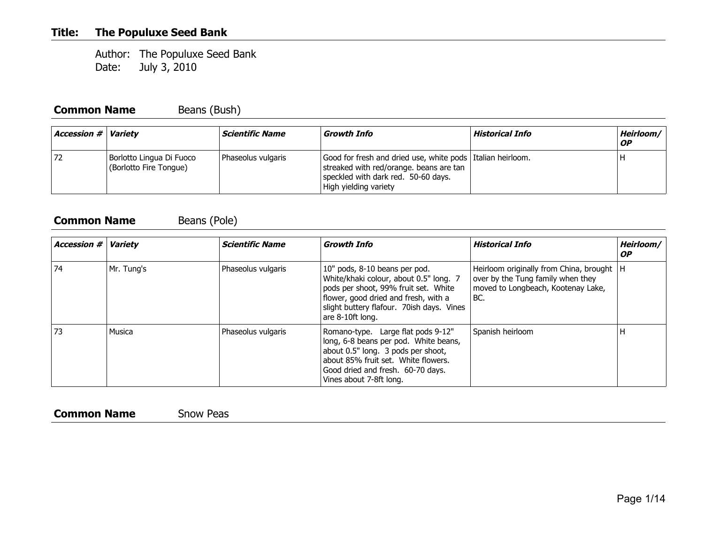Author: The Populuxe Seed Bank Date: July 3, 2010

#### **Common Name** Beans (Bush)

| <b>Accession # Variety</b> |                                                    | <i><b>Scientific Name</b></i> | Growth Info                                                                                                                                                             | Historical Info | Heirloom/ \<br><b>OP</b> |
|----------------------------|----------------------------------------------------|-------------------------------|-------------------------------------------------------------------------------------------------------------------------------------------------------------------------|-----------------|--------------------------|
| 72                         | Borlotto Lingua Di Fuoco<br>(Borlotto Fire Tongue) | Phaseolus vulgaris            | Good for fresh and dried use, white pods   Italian heirloom.<br>streaked with red/orange. beans are tan<br>speckled with dark red. 50-60 days.<br>High yielding variety |                 |                          |

#### **Common Name** Beans (Pole)

| Accession $#$ $\parallel$ | <b>Variety</b> | <b>Scientific Name</b> | <b>Growth Info</b>                                                                                                                                                                                                       | <b>Historical Info</b>                                                                                                        | Heirloom/<br><b>OP</b> |
|---------------------------|----------------|------------------------|--------------------------------------------------------------------------------------------------------------------------------------------------------------------------------------------------------------------------|-------------------------------------------------------------------------------------------------------------------------------|------------------------|
| 74                        | Mr. Tung's     | Phaseolus vulgaris     | 10" pods, 8-10 beans per pod.<br>White/khaki colour, about 0.5" long. 7<br>pods per shoot, 99% fruit set. White<br>flower, good dried and fresh, with a<br>slight buttery flafour. 70ish days. Vines<br>are 8-10ft long. | Heirloom originally from China, brought   H<br>over by the Tung family when they<br>moved to Longbeach, Kootenay Lake,<br>BC. |                        |
| 73                        | Musica         | Phaseolus vulgaris     | Romano-type. Large flat pods 9-12"<br>long, 6-8 beans per pod. White beans,<br>about 0.5" long. 3 pods per shoot,<br>about 85% fruit set. White flowers.<br>Good dried and fresh. 60-70 days.<br>Vines about 7-8ft long. | Spanish heirloom                                                                                                              | н                      |

#### **Common Name** Snow Peas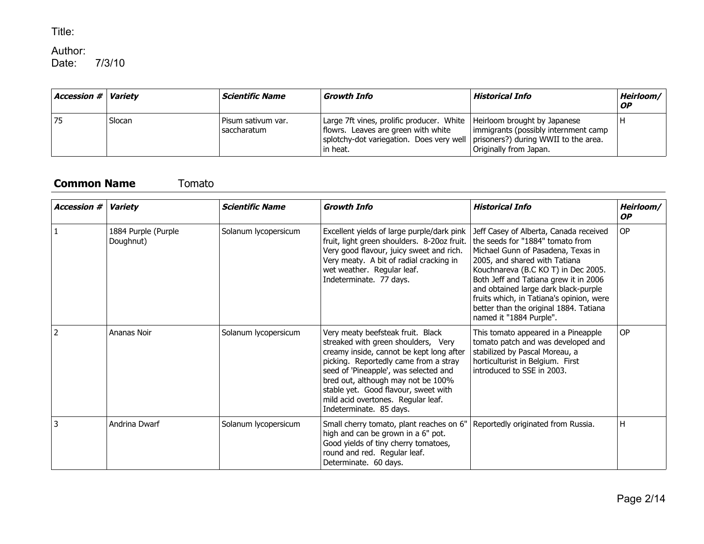### Author:<br>Date:

7/3/10

| <b>Accession # Variety</b> |        | <i><b>Scientific Name</b></i>     | Growth Info                                                                                                                                                                                                    | Historical Info                                                | Heirloom/<br><b>OP</b> |
|----------------------------|--------|-----------------------------------|----------------------------------------------------------------------------------------------------------------------------------------------------------------------------------------------------------------|----------------------------------------------------------------|------------------------|
| 75                         | Slocan | Pisum sativum var.<br>saccharatum | Large 7ft vines, prolific producer. White   Heirloom brought by Japanese<br>flowrs. Leaves are green with white<br>splotchy-dot variegation. Does very well   prisoners?) during WWII to the area.<br>in heat. | immigrants (possibly internment camp<br>Originally from Japan. |                        |

#### **Common Name** Tomato

| <b>Accession #</b> | <b>Variety</b>                   | <b>Scientific Name</b> | <b>Growth Info</b>                                                                                                                                                                                                                                                                                                                                    | <b>Historical Info</b>                                                                                                                                                                                                                                                                                                                                                                     | Heirloom/<br><b>OP</b> |
|--------------------|----------------------------------|------------------------|-------------------------------------------------------------------------------------------------------------------------------------------------------------------------------------------------------------------------------------------------------------------------------------------------------------------------------------------------------|--------------------------------------------------------------------------------------------------------------------------------------------------------------------------------------------------------------------------------------------------------------------------------------------------------------------------------------------------------------------------------------------|------------------------|
|                    | 1884 Purple (Purple<br>Doughnut) | Solanum lycopersicum   | Excellent yields of large purple/dark pink<br>fruit, light green shoulders. 8-20oz fruit.<br>Very good flavour, juicy sweet and rich.<br>Very meaty. A bit of radial cracking in<br>wet weather. Regular leaf.<br>Indeterminate. 77 days.                                                                                                             | Jeff Casey of Alberta, Canada received<br>the seeds for "1884" tomato from<br>Michael Gunn of Pasadena, Texas in<br>2005, and shared with Tatiana<br>Kouchnareva (B.C KO T) in Dec 2005.<br>Both Jeff and Tatiana grew it in 2006<br>and obtained large dark black-purple<br>fruits which, in Tatiana's opinion, were<br>better than the original 1884. Tatiana<br>named it "1884 Purple". | <b>OP</b>              |
| $\mathcal{P}$      | Ananas Noir                      | Solanum lycopersicum   | Very meaty beefsteak fruit. Black<br>streaked with green shoulders, Very<br>creamy inside, cannot be kept long after<br>picking. Reportedly came from a stray<br>seed of 'Pineapple', was selected and<br>bred out, although may not be 100%<br>stable yet. Good flavour, sweet with<br>mild acid overtones. Regular leaf.<br>Indeterminate. 85 days. | This tomato appeared in a Pineapple<br>tomato patch and was developed and<br>stabilized by Pascal Moreau, a<br>horticulturist in Belgium. First<br>introduced to SSE in 2003.                                                                                                                                                                                                              | <b>OP</b>              |
| 3                  | Andrina Dwarf                    | Solanum lycopersicum   | Small cherry tomato, plant reaches on 6"<br>high and can be grown in a 6" pot.<br>Good yields of tiny cherry tomatoes,<br>round and red. Regular leaf.<br>Determinate. 60 days.                                                                                                                                                                       | Reportedly originated from Russia.                                                                                                                                                                                                                                                                                                                                                         | H                      |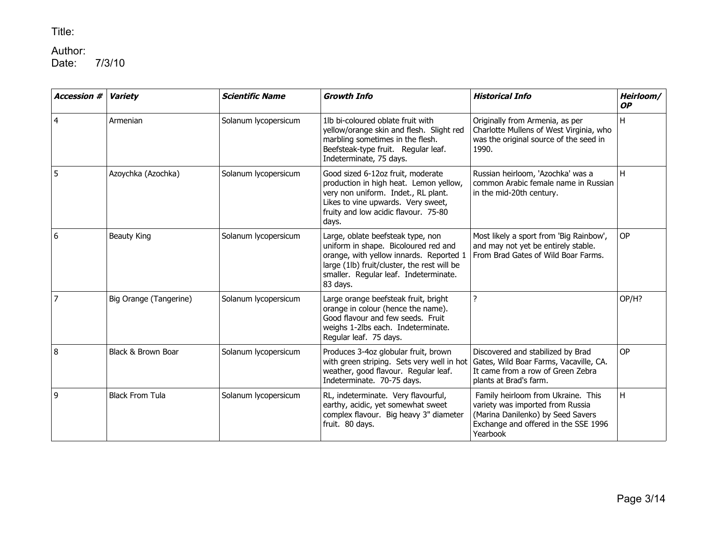## Author:<br>Date:

| <b>Accession #</b> | <b>Variety</b>         | <b>Scientific Name</b> | <b>Growth Info</b>                                                                                                                                                                                                       | <b>Historical Info</b>                                                                                                                                          | Heirloom/<br><b>OP</b> |
|--------------------|------------------------|------------------------|--------------------------------------------------------------------------------------------------------------------------------------------------------------------------------------------------------------------------|-----------------------------------------------------------------------------------------------------------------------------------------------------------------|------------------------|
| $\overline{4}$     | Armenian               | Solanum lycopersicum   | 1lb bi-coloured oblate fruit with<br>yellow/orange skin and flesh. Slight red<br>marbling sometimes in the flesh.<br>Beefsteak-type fruit. Regular leaf.<br>Indeterminate, 75 days.                                      | Originally from Armenia, as per<br>Charlotte Mullens of West Virginia, who<br>was the original source of the seed in<br>1990.                                   | H                      |
| 5                  | Azoychka (Azochka)     | Solanum lycopersicum   | Good sized 6-12oz fruit, moderate<br>production in high heat. Lemon yellow,<br>very non uniform. Indet., RL plant.<br>Likes to vine upwards. Very sweet,<br>fruity and low acidic flavour. 75-80<br>days.                | Russian heirloom, 'Azochka' was a<br>common Arabic female name in Russian<br>in the mid-20th century.                                                           | H                      |
| 6                  | Beauty King            | Solanum lycopersicum   | Large, oblate beefsteak type, non<br>uniform in shape. Bicoloured red and<br>orange, with yellow innards. Reported 1<br>large (1lb) fruit/cluster, the rest will be<br>smaller. Regular leaf. Indeterminate.<br>83 days. | Most likely a sport from 'Big Rainbow',<br>and may not yet be entirely stable.<br>From Brad Gates of Wild Boar Farms.                                           | OP                     |
| $\overline{7}$     | Big Orange (Tangerine) | Solanum lycopersicum   | Large orange beefsteak fruit, bright<br>orange in colour (hence the name).<br>Good flavour and few seeds. Fruit<br>weighs 1-2lbs each. Indeterminate.<br>Regular leaf. 75 days.                                          | ?                                                                                                                                                               | OP/H?                  |
| 8                  | Black & Brown Boar     | Solanum lycopersicum   | Produces 3-4oz globular fruit, brown<br>with green striping. Sets very well in hot<br>weather, good flavour. Regular leaf.<br>Indeterminate. 70-75 days.                                                                 | Discovered and stabilized by Brad<br>Gates, Wild Boar Farms, Vacaville, CA.<br>It came from a row of Green Zebra<br>plants at Brad's farm.                      | OP                     |
| 9                  | <b>Black From Tula</b> | Solanum lycopersicum   | RL, indeterminate. Very flavourful,<br>earthy, acidic, yet somewhat sweet<br>complex flavour. Big heavy 3" diameter<br>fruit. 80 days.                                                                                   | Family heirloom from Ukraine. This<br>variety was imported from Russia<br>(Marina Danilenko) by Seed Savers<br>Exchange and offered in the SSE 1996<br>Yearbook | H                      |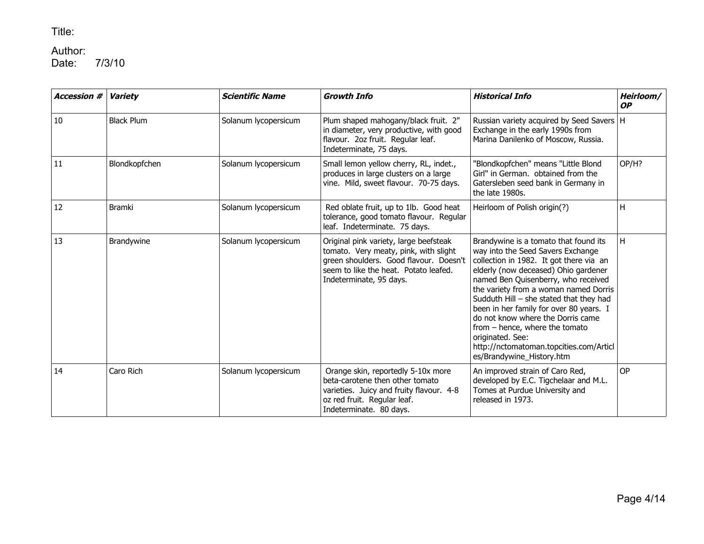## Author:<br>Date:

| <b>Accession #</b> | <b>Variety</b>    | <b>Scientific Name</b> | <b>Growth Info</b>                                                                                                                                                                            | <b>Historical Info</b>                                                                                                                                                                                                                                                                                                                                                                                                                                                                                 | Heirloom/<br><b>OP</b> |
|--------------------|-------------------|------------------------|-----------------------------------------------------------------------------------------------------------------------------------------------------------------------------------------------|--------------------------------------------------------------------------------------------------------------------------------------------------------------------------------------------------------------------------------------------------------------------------------------------------------------------------------------------------------------------------------------------------------------------------------------------------------------------------------------------------------|------------------------|
| 10                 | <b>Black Plum</b> | Solanum lycopersicum   | Plum shaped mahogany/black fruit. 2"<br>in diameter, very productive, with good<br>flavour. 2oz fruit. Regular leaf.<br>Indeterminate, 75 days.                                               | Russian variety acquired by Seed Savers   H<br>Exchange in the early 1990s from<br>Marina Danilenko of Moscow, Russia.                                                                                                                                                                                                                                                                                                                                                                                 |                        |
| 11                 | Blondkopfchen     | Solanum lycopersicum   | Small lemon yellow cherry, RL, indet.,<br>produces in large clusters on a large<br>vine. Mild, sweet flavour. 70-75 days.                                                                     | "Blondkopfchen" means "Little Blond<br>Girl" in German. obtained from the<br>Gatersleben seed bank in Germany in<br>the late 1980s.                                                                                                                                                                                                                                                                                                                                                                    | OP/H?                  |
| 12                 | <b>Bramki</b>     | Solanum lycopersicum   | Red oblate fruit, up to 1lb. Good heat<br>tolerance, good tomato flavour. Regular<br>leaf. Indeterminate. 75 days.                                                                            | Heirloom of Polish origin(?)                                                                                                                                                                                                                                                                                                                                                                                                                                                                           | H                      |
| 13                 | Brandywine        | Solanum lycopersicum   | Original pink variety, large beefsteak<br>tomato. Very meaty, pink, with slight<br>green shoulders. Good flavour. Doesn't<br>seem to like the heat. Potato leafed.<br>Indeterminate, 95 days. | Brandywine is a tomato that found its<br>way into the Seed Savers Exchange<br>collection in 1982. It got there via an<br>elderly (now deceased) Ohio gardener<br>named Ben Quisenberry, who received<br>the variety from a woman named Dorris<br>Sudduth Hill - she stated that they had<br>been in her family for over 80 years. I<br>do not know where the Dorris came<br>from - hence, where the tomato<br>originated. See:<br>http://nctomatoman.topcities.com/Articl<br>es/Brandywine_History.htm | H.                     |
| 14                 | Caro Rich         | Solanum lycopersicum   | Orange skin, reportedly 5-10x more<br>beta-carotene then other tomato<br>varieties. Juicy and fruity flavour. 4-8<br>oz red fruit. Regular leaf.<br>Indeterminate. 80 days.                   | An improved strain of Caro Red,<br>developed by E.C. Tigchelaar and M.L.<br>Tomes at Purdue University and<br>released in 1973.                                                                                                                                                                                                                                                                                                                                                                        | <b>OP</b>              |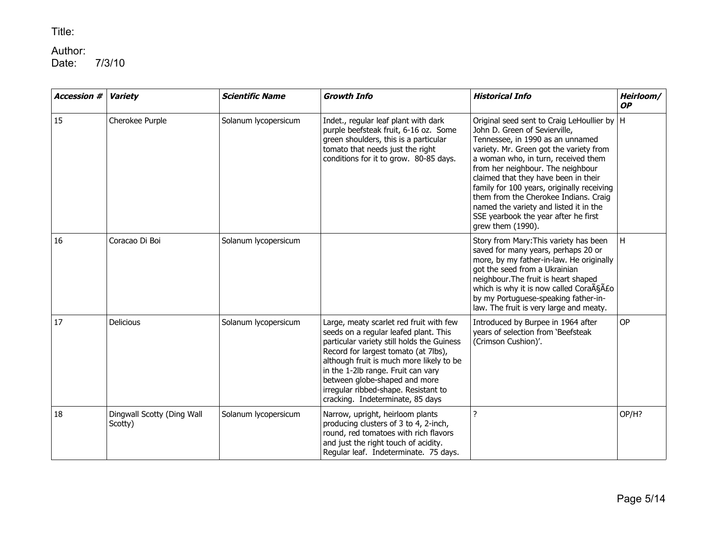## Author:<br>Date:

| <b>Accession #</b> | <b>Variety</b>                        | <b>Scientific Name</b> | <b>Growth Info</b>                                                                                                                                                                                                                                                                                                                                                    | <b>Historical Info</b>                                                                                                                                                                                                                                                                                                                                                                                                                                                          | Heirloom/<br><b>OP</b> |
|--------------------|---------------------------------------|------------------------|-----------------------------------------------------------------------------------------------------------------------------------------------------------------------------------------------------------------------------------------------------------------------------------------------------------------------------------------------------------------------|---------------------------------------------------------------------------------------------------------------------------------------------------------------------------------------------------------------------------------------------------------------------------------------------------------------------------------------------------------------------------------------------------------------------------------------------------------------------------------|------------------------|
| 15                 | Cherokee Purple                       | Solanum lycopersicum   | Indet., regular leaf plant with dark<br>purple beefsteak fruit, 6-16 oz. Some<br>green shoulders, this is a particular<br>tomato that needs just the right<br>conditions for it to grow. 80-85 days.                                                                                                                                                                  | Original seed sent to Craig LeHoullier by   H<br>John D. Green of Sevierville,<br>Tennessee, in 1990 as an unnamed<br>variety. Mr. Green got the variety from<br>a woman who, in turn, received them<br>from her neighbour. The neighbour<br>claimed that they have been in their<br>family for 100 years, originally receiving<br>them from the Cherokee Indians. Craig<br>named the variety and listed it in the<br>SSE yearbook the year after he first<br>grew them (1990). |                        |
| 16                 | Coracao Di Boi                        | Solanum lycopersicum   |                                                                                                                                                                                                                                                                                                                                                                       | Story from Mary: This variety has been<br>saved for many years, perhaps 20 or<br>more, by my father-in-law. He originally<br>got the seed from a Ukrainian<br>neighbour. The fruit is heart shaped<br>which is why it is now called Cora $\tilde{A} \tilde{S} \tilde{A} E$ o<br>by my Portuguese-speaking father-in-<br>law. The fruit is very large and meaty.                                                                                                                 | H                      |
| 17                 | Delicious                             | Solanum lycopersicum   | Large, meaty scarlet red fruit with few<br>seeds on a regular leafed plant. This<br>particular variety still holds the Guiness<br>Record for largest tomato (at 7lbs),<br>although fruit is much more likely to be<br>in the 1-2lb range. Fruit can vary<br>between globe-shaped and more<br>irregular ribbed-shape. Resistant to<br>cracking. Indeterminate, 85 days | Introduced by Burpee in 1964 after<br>years of selection from 'Beefsteak<br>(Crimson Cushion)'.                                                                                                                                                                                                                                                                                                                                                                                 | OP                     |
| 18                 | Dingwall Scotty (Ding Wall<br>Scotty) | Solanum lycopersicum   | Narrow, upright, heirloom plants<br>producing clusters of 3 to 4, 2-inch,<br>round, red tomatoes with rich flavors<br>and just the right touch of acidity.<br>Regular leaf. Indeterminate. 75 days.                                                                                                                                                                   | $\overline{?}$                                                                                                                                                                                                                                                                                                                                                                                                                                                                  | OP/H?                  |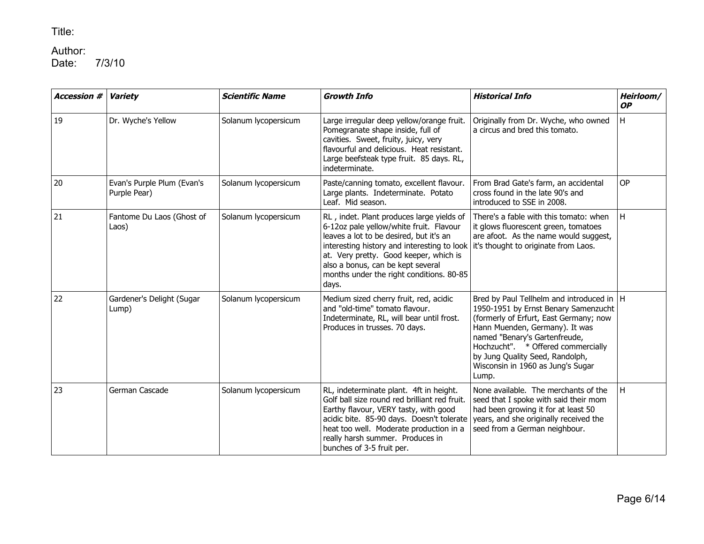# Author:<br>Date:

| <b>Accession #</b> | <b>Variety</b>                             | <b>Scientific Name</b> | <b>Growth Info</b>                                                                                                                                                                                                                                                                                                                                      | <b>Historical Info</b>                                                                                                                                                                                                                                                                                                  | Heirloom/<br><b>OP</b> |
|--------------------|--------------------------------------------|------------------------|---------------------------------------------------------------------------------------------------------------------------------------------------------------------------------------------------------------------------------------------------------------------------------------------------------------------------------------------------------|-------------------------------------------------------------------------------------------------------------------------------------------------------------------------------------------------------------------------------------------------------------------------------------------------------------------------|------------------------|
| 19                 | Dr. Wyche's Yellow                         | Solanum lycopersicum   | Large irregular deep yellow/orange fruit.<br>Pomegranate shape inside, full of<br>cavities. Sweet, fruity, juicy, very<br>flavourful and delicious. Heat resistant.<br>Large beefsteak type fruit. 85 days. RL,<br>indeterminate.                                                                                                                       | Originally from Dr. Wyche, who owned<br>a circus and bred this tomato.                                                                                                                                                                                                                                                  | H                      |
| 20                 | Evan's Purple Plum (Evan's<br>Purple Pear) | Solanum lycopersicum   | Paste/canning tomato, excellent flavour.<br>Large plants. Indeterminate. Potato<br>Leaf. Mid season.                                                                                                                                                                                                                                                    | From Brad Gate's farm, an accidental<br>cross found in the late 90's and<br>introduced to SSE in 2008.                                                                                                                                                                                                                  | <b>OP</b>              |
| 21                 | Fantome Du Laos (Ghost of<br>Laos)         | Solanum lycopersicum   | RL, indet. Plant produces large yields of<br>6-12oz pale yellow/white fruit. Flavour<br>leaves a lot to be desired, but it's an<br>interesting history and interesting to look it's thought to originate from Laos.<br>at. Very pretty. Good keeper, which is<br>also a bonus, can be kept several<br>months under the right conditions. 80-85<br>days. | There's a fable with this tomato: when<br>it glows fluorescent green, tomatoes<br>are afoot. As the name would suggest,                                                                                                                                                                                                 | H                      |
| 22                 | Gardener's Delight (Sugar<br>Lump)         | Solanum lycopersicum   | Medium sized cherry fruit, red, acidic<br>and "old-time" tomato flavour.<br>Indeterminate, RL, will bear until frost.<br>Produces in trusses. 70 days.                                                                                                                                                                                                  | Bred by Paul Tellhelm and introduced in   H<br>1950-1951 by Ernst Benary Samenzucht<br>(formerly of Erfurt, East Germany; now<br>Hann Muenden, Germany). It was<br>named "Benary's Gartenfreude,<br>Hochzucht". * Offered commercially<br>by Jung Quality Seed, Randolph,<br>Wisconsin in 1960 as Jung's Sugar<br>Lump. |                        |
| 23                 | German Cascade                             | Solanum lycopersicum   | RL, indeterminate plant. 4ft in height.<br>Golf ball size round red brilliant red fruit.<br>Earthy flavour, VERY tasty, with good<br>acidic bite. 85-90 days. Doesn't tolerate<br>heat too well. Moderate production in a<br>really harsh summer. Produces in<br>bunches of 3-5 fruit per.                                                              | None available. The merchants of the<br>seed that I spoke with said their mom<br>had been growing it for at least 50<br>years, and she originally received the<br>seed from a German neighbour.                                                                                                                         | H                      |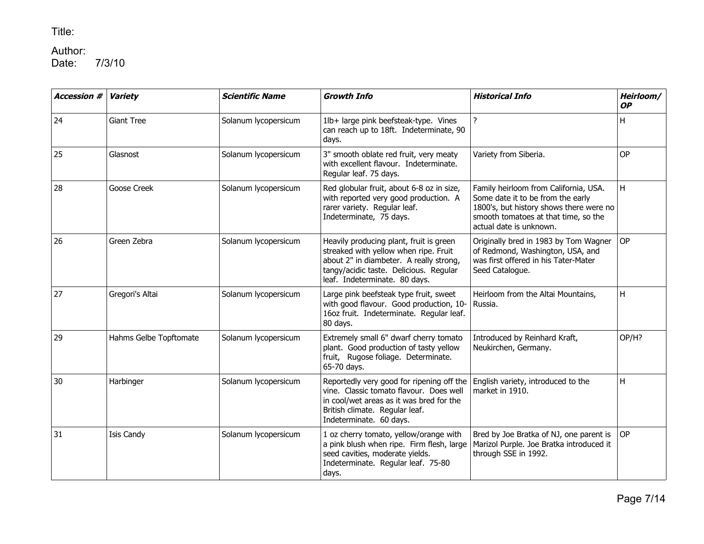## Author:<br>Date:

| <b>Accession #</b> | <b>Variety</b>         | <b>Scientific Name</b> | <b>Growth Info</b>                                                                                                                                                                                     | <b>Historical Info</b>                                                                                                                                                                   | Heirloom/<br><b>OP</b> |
|--------------------|------------------------|------------------------|--------------------------------------------------------------------------------------------------------------------------------------------------------------------------------------------------------|------------------------------------------------------------------------------------------------------------------------------------------------------------------------------------------|------------------------|
| 24                 | <b>Giant Tree</b>      | Solanum lycopersicum   | 1lb+ large pink beefsteak-type. Vines<br>can reach up to 18ft. Indeterminate, 90<br>days.                                                                                                              | $\overline{?}$                                                                                                                                                                           | H                      |
| 25                 | Glasnost               | Solanum lycopersicum   | 3" smooth oblate red fruit, very meaty<br>with excellent flavour. Indeterminate.<br>Regular leaf. 75 days.                                                                                             | Variety from Siberia.                                                                                                                                                                    | <b>OP</b>              |
| 28                 | Goose Creek            | Solanum lycopersicum   | Red globular fruit, about 6-8 oz in size,<br>with reported very good production. A<br>rarer variety. Regular leaf.<br>Indeterminate, 75 days.                                                          | Family heirloom from California, USA.<br>Some date it to be from the early<br>1800's, but history shows there were no<br>smooth tomatoes at that time, so the<br>actual date is unknown. | H                      |
| 26                 | Green Zebra            | Solanum lycopersicum   | Heavily producing plant, fruit is green<br>streaked with yellow when ripe. Fruit<br>about 2" in diambeter. A really strong,<br>tangy/acidic taste. Delicious. Regular<br>leaf. Indeterminate. 80 days. | Originally bred in 1983 by Tom Wagner<br>of Redmond, Washington, USA, and<br>was first offered in his Tater-Mater<br>Seed Catalogue.                                                     | <b>OP</b>              |
| 27                 | Gregori's Altai        | Solanum lycopersicum   | Large pink beefsteak type fruit, sweet<br>with good flavour. Good production, 10-<br>16oz fruit. Indeterminate. Regular leaf.<br>80 days.                                                              | Heirloom from the Altai Mountains,<br>Russia.                                                                                                                                            | H                      |
| 29                 | Hahms Gelbe Topftomate | Solanum lycopersicum   | Extremely small 6" dwarf cherry tomato<br>plant. Good production of tasty yellow<br>fruit, Rugose foliage. Determinate.<br>65-70 days.                                                                 | Introduced by Reinhard Kraft,<br>Neukirchen, Germany.                                                                                                                                    | OP/H?                  |
| 30                 | Harbinger              | Solanum lycopersicum   | Reportedly very good for ripening off the<br>vine. Classic tomato flavour. Does well<br>in cool/wet areas as it was bred for the<br>British climate. Regular leaf.<br>Indeterminate. 60 days.          | English variety, introduced to the<br>market in 1910.                                                                                                                                    | H                      |
| 31                 | <b>Isis Candy</b>      | Solanum lycopersicum   | 1 oz cherry tomato, yellow/orange with<br>a pink blush when ripe. Firm flesh, large<br>seed cavities, moderate yields.<br>Indeterminate. Regular leaf. 75-80<br>days.                                  | Bred by Joe Bratka of NJ, one parent is<br>Marizol Purple. Joe Bratka introduced it<br>through SSE in 1992.                                                                              | <b>OP</b>              |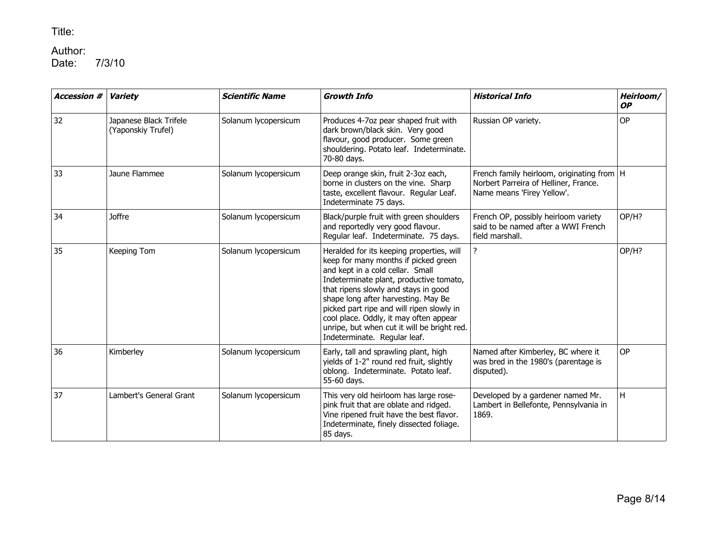# Author:<br>Date:

| <b>Accession #</b> | <b>Variety</b>                               | <b>Scientific Name</b> | <b>Growth Info</b>                                                                                                                                                                                                                                                                                                                                                                                                    | <b>Historical Info</b>                                                                                              | Heirloom/<br><b>OP</b> |
|--------------------|----------------------------------------------|------------------------|-----------------------------------------------------------------------------------------------------------------------------------------------------------------------------------------------------------------------------------------------------------------------------------------------------------------------------------------------------------------------------------------------------------------------|---------------------------------------------------------------------------------------------------------------------|------------------------|
| 32                 | Japanese Black Trifele<br>(Yaponskiy Trufel) | Solanum lycopersicum   | Produces 4-7oz pear shaped fruit with<br>dark brown/black skin. Very good<br>flavour, good producer. Some green<br>shouldering. Potato leaf. Indeterminate.<br>70-80 days.                                                                                                                                                                                                                                            | Russian OP variety.                                                                                                 | OP                     |
| 33                 | Jaune Flammee                                | Solanum lycopersicum   | Deep orange skin, fruit 2-3oz each,<br>borne in clusters on the vine. Sharp<br>taste, excellent flavour. Regular Leaf.<br>Indeterminate 75 days.                                                                                                                                                                                                                                                                      | French family heirloom, originating from   H<br>Norbert Parreira of Helliner, France.<br>Name means 'Firey Yellow'. |                        |
| 34                 | <b>Joffre</b>                                | Solanum lycopersicum   | Black/purple fruit with green shoulders<br>and reportedly very good flavour.<br>Regular leaf. Indeterminate. 75 days.                                                                                                                                                                                                                                                                                                 | French OP, possibly heirloom variety<br>said to be named after a WWI French<br>field marshall.                      | OP/H?                  |
| 35                 | Keeping Tom                                  | Solanum lycopersicum   | Heralded for its keeping properties, will<br>keep for many months if picked green<br>and kept in a cold cellar. Small<br>Indeterminate plant, productive tomato,<br>that ripens slowly and stays in good<br>shape long after harvesting. May Be<br>picked part ripe and will ripen slowly in<br>cool place. Oddly, it may often appear<br>unripe, but when cut it will be bright red.<br>Indeterminate. Regular leaf. | ?                                                                                                                   | OP/H?                  |
| 36                 | Kimberley                                    | Solanum lycopersicum   | Early, tall and sprawling plant, high<br>yields of 1-2" round red fruit, slightly<br>oblong. Indeterminate. Potato leaf.<br>55-60 days.                                                                                                                                                                                                                                                                               | Named after Kimberley, BC where it<br>was bred in the 1980's (parentage is<br>disputed).                            | <b>OP</b>              |
| 37                 | Lambert's General Grant                      | Solanum lycopersicum   | This very old heirloom has large rose-<br>pink fruit that are oblate and ridged.<br>Vine ripened fruit have the best flavor.<br>Indeterminate, finely dissected foliage.<br>85 days.                                                                                                                                                                                                                                  | Developed by a gardener named Mr.<br>Lambert in Bellefonte, Pennsylvania in<br>1869.                                | H                      |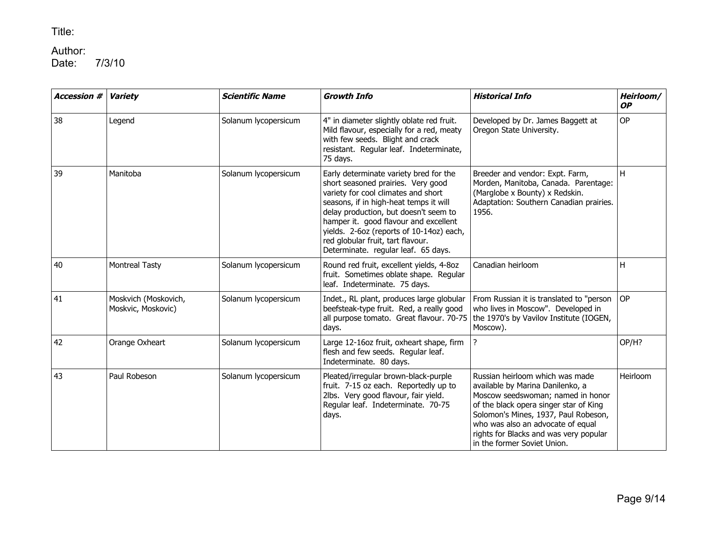# Author:<br>Date:

| <b>Accession #</b> | <b>Variety</b>                             | <b>Scientific Name</b> | <b>Growth Info</b>                                                                                                                                                                                                                                                                                                                                                      | <b>Historical Info</b>                                                                                                                                                                                                                                                                                   | Heirloom/<br><b>OP</b> |
|--------------------|--------------------------------------------|------------------------|-------------------------------------------------------------------------------------------------------------------------------------------------------------------------------------------------------------------------------------------------------------------------------------------------------------------------------------------------------------------------|----------------------------------------------------------------------------------------------------------------------------------------------------------------------------------------------------------------------------------------------------------------------------------------------------------|------------------------|
| 38                 | Legend                                     | Solanum lycopersicum   | 4" in diameter slightly oblate red fruit.<br>Mild flavour, especially for a red, meaty<br>with few seeds. Blight and crack<br>resistant. Regular leaf. Indeterminate,<br>75 days.                                                                                                                                                                                       | Developed by Dr. James Baggett at<br>Oregon State University.                                                                                                                                                                                                                                            | OP                     |
| 39                 | Manitoba                                   | Solanum lycopersicum   | Early determinate variety bred for the<br>short seasoned prairies. Very good<br>variety for cool climates and short<br>seasons, if in high-heat temps it will<br>delay production, but doesn't seem to<br>hamper it. good flavour and excellent<br>yields. 2-6oz (reports of 10-14oz) each,<br>red globular fruit, tart flavour.<br>Determinate. regular leaf. 65 days. | Breeder and vendor: Expt. Farm,<br>Morden, Manitoba, Canada. Parentage:<br>(Marglobe x Bounty) x Redskin.<br>Adaptation: Southern Canadian prairies.<br>1956.                                                                                                                                            | H                      |
| 40                 | <b>Montreal Tasty</b>                      | Solanum lycopersicum   | Round red fruit, excellent yields, 4-8oz<br>fruit. Sometimes oblate shape. Regular<br>leaf. Indeterminate. 75 days.                                                                                                                                                                                                                                                     | Canadian heirloom                                                                                                                                                                                                                                                                                        | Η                      |
| 41                 | Moskvich (Moskovich,<br>Moskvic, Moskovic) | Solanum lycopersicum   | Indet., RL plant, produces large globular<br>beefsteak-type fruit. Red, a really good<br>all purpose tomato. Great flavour. 70-75<br>days.                                                                                                                                                                                                                              | From Russian it is translated to "person<br>who lives in Moscow". Developed in<br>the 1970's by Vavilov Institute (IOGEN,<br>Moscow).                                                                                                                                                                    | <b>OP</b>              |
| 42                 | Orange Oxheart                             | Solanum lycopersicum   | Large 12-16oz fruit, oxheart shape, firm<br>flesh and few seeds. Regular leaf.<br>Indeterminate. 80 days.                                                                                                                                                                                                                                                               | <sup>2</sup>                                                                                                                                                                                                                                                                                             | OP/H?                  |
| 43                 | Paul Robeson                               | Solanum lycopersicum   | Pleated/irregular brown-black-purple<br>fruit. 7-15 oz each. Reportedly up to<br>2lbs. Very good flavour, fair yield.<br>Regular leaf. Indeterminate. 70-75<br>days.                                                                                                                                                                                                    | Russian heirloom which was made<br>available by Marina Danilenko, a<br>Moscow seedswoman; named in honor<br>of the black opera singer star of King<br>Solomon's Mines, 1937, Paul Robeson,<br>who was also an advocate of equal<br>rights for Blacks and was very popular<br>in the former Soviet Union. | Heirloom               |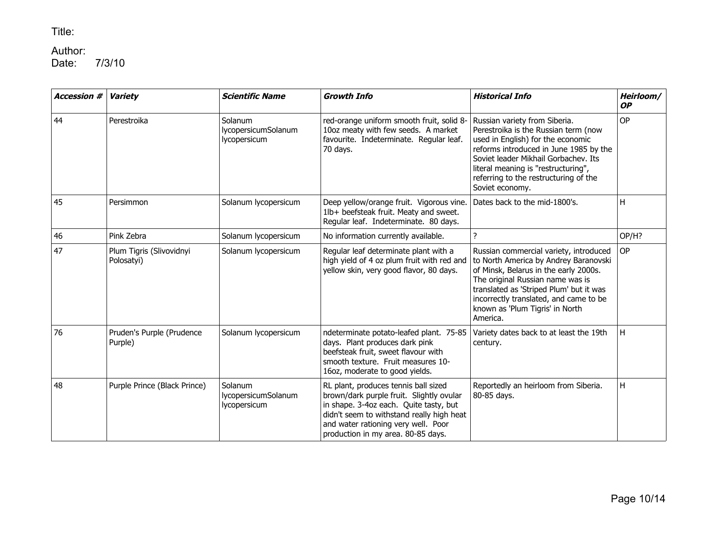## Author:<br>Date:

| <b>Accession #</b> | <b>Variety</b>                         | <b>Scientific Name</b>                         | <b>Growth Info</b>                                                                                                                                                                                                                                   | <b>Historical Info</b>                                                                                                                                                                                                                                                                           | Heirloom/<br><b>OP</b>  |
|--------------------|----------------------------------------|------------------------------------------------|------------------------------------------------------------------------------------------------------------------------------------------------------------------------------------------------------------------------------------------------------|--------------------------------------------------------------------------------------------------------------------------------------------------------------------------------------------------------------------------------------------------------------------------------------------------|-------------------------|
| 44                 | Perestroika                            | Solanum<br>lycopersicumSolanum<br>lycopersicum | red-orange uniform smooth fruit, solid 8-<br>10oz meaty with few seeds. A market<br>favourite. Indeterminate. Regular leaf.<br>70 days.                                                                                                              | Russian variety from Siberia.<br>Perestroika is the Russian term (now<br>used in English) for the economic<br>reforms introduced in June 1985 by the<br>Soviet leader Mikhail Gorbachev. Its<br>literal meaning is "restructuring",<br>referring to the restructuring of the<br>Soviet economy.  | OP                      |
| 45                 | Persimmon                              | Solanum lycopersicum                           | Deep yellow/orange fruit. Vigorous vine.<br>1lb+ beefsteak fruit. Meaty and sweet.<br>Regular leaf. Indeterminate. 80 days.                                                                                                                          | Dates back to the mid-1800's.                                                                                                                                                                                                                                                                    | H                       |
| 46                 | Pink Zebra                             | Solanum lycopersicum                           | No information currently available.                                                                                                                                                                                                                  | $\overline{?}$                                                                                                                                                                                                                                                                                   | OP/H?                   |
| 47                 | Plum Tigris (Slivovidnyi<br>Polosatyi) | Solanum lycopersicum                           | Regular leaf determinate plant with a<br>high yield of 4 oz plum fruit with red and<br>yellow skin, very good flavor, 80 days.                                                                                                                       | Russian commercial variety, introduced<br>to North America by Andrey Baranovski<br>of Minsk, Belarus in the early 2000s.<br>The original Russian name was is<br>translated as 'Striped Plum' but it was<br>incorrectly translated, and came to be<br>known as 'Plum Tigris' in North<br>America. | <b>OP</b>               |
| 76                 | Pruden's Purple (Prudence<br>Purple)   | Solanum lycopersicum                           | ndeterminate potato-leafed plant. 75-85<br>days. Plant produces dark pink<br>beefsteak fruit, sweet flavour with<br>smooth texture. Fruit measures 10-<br>16oz, moderate to good yields.                                                             | Variety dates back to at least the 19th<br>century.                                                                                                                                                                                                                                              | $\overline{\mathsf{H}}$ |
| 48                 | Purple Prince (Black Prince)           | Solanum<br>lycopersicumSolanum<br>lycopersicum | RL plant, produces tennis ball sized<br>brown/dark purple fruit. Slightly ovular<br>in shape. 3-4oz each. Quite tasty, but<br>didn't seem to withstand really high heat<br>and water rationing very well. Poor<br>production in my area. 80-85 days. | Reportedly an heirloom from Siberia.<br>80-85 days.                                                                                                                                                                                                                                              | Η                       |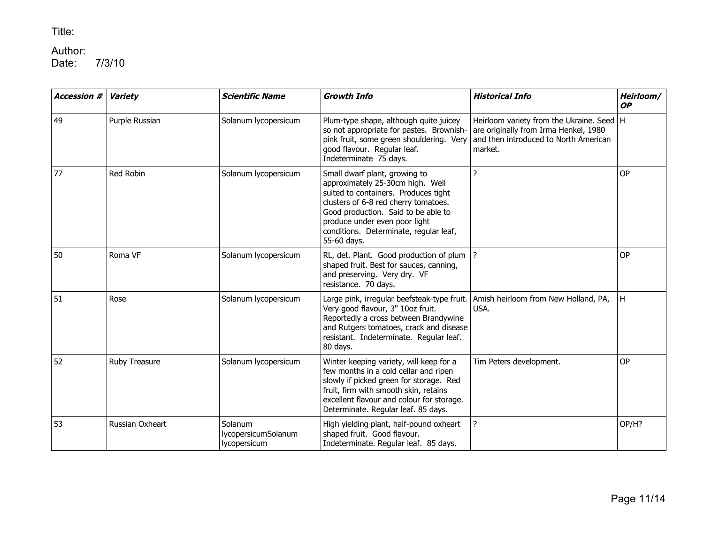## Author:<br>Date:

| <b>Accession #</b> | Variety         | <b>Scientific Name</b>                         | <b>Growth Info</b>                                                                                                                                                                                                                                                                 | <b>Historical Info</b>                                                                                                                   | Heirloom/<br><b>OP</b> |
|--------------------|-----------------|------------------------------------------------|------------------------------------------------------------------------------------------------------------------------------------------------------------------------------------------------------------------------------------------------------------------------------------|------------------------------------------------------------------------------------------------------------------------------------------|------------------------|
| 49                 | Purple Russian  | Solanum lycopersicum                           | Plum-type shape, although quite juicey<br>so not appropriate for pastes. Brownish-<br>pink fruit, some green shouldering. Very<br>good flavour. Regular leaf.<br>Indeterminate 75 days.                                                                                            | Heirloom variety from the Ukraine. Seed   H<br>are originally from Irma Henkel, 1980<br>and then introduced to North American<br>market. |                        |
| 77                 | Red Robin       | Solanum lycopersicum                           | Small dwarf plant, growing to<br>approximately 25-30cm high. Well<br>suited to containers. Produces tight<br>clusters of 6-8 red cherry tomatoes.<br>Good production. Said to be able to<br>produce under even poor light<br>conditions. Determinate, regular leaf,<br>55-60 days. | 2                                                                                                                                        | <b>OP</b>              |
| 50                 | Roma VF         | Solanum lycopersicum                           | RL, det. Plant. Good production of plum  ?<br>shaped fruit. Best for sauces, canning,<br>and preserving. Very dry. VF<br>resistance. 70 days.                                                                                                                                      |                                                                                                                                          | <b>OP</b>              |
| 51                 | Rose            | Solanum lycopersicum                           | Large pink, irregular beefsteak-type fruit.<br>Very good flavour, 3" 10oz fruit.<br>Reportedly a cross between Brandywine<br>and Rutgers tomatoes, crack and disease<br>resistant. Indeterminate. Regular leaf.<br>80 days.                                                        | Amish heirloom from New Holland, PA,<br>USA.                                                                                             | H                      |
| 52                 | Ruby Treasure   | Solanum lycopersicum                           | Winter keeping variety, will keep for a<br>few months in a cold cellar and ripen<br>slowly if picked green for storage. Red<br>fruit, firm with smooth skin, retains<br>excellent flavour and colour for storage.<br>Determinate. Regular leaf. 85 days.                           | Tim Peters development.                                                                                                                  | <b>OP</b>              |
| 53                 | Russian Oxheart | Solanum<br>lycopersicumSolanum<br>lycopersicum | High yielding plant, half-pound oxheart<br>shaped fruit. Good flavour.<br>Indeterminate. Regular leaf. 85 days.                                                                                                                                                                    | ?                                                                                                                                        | OP/H?                  |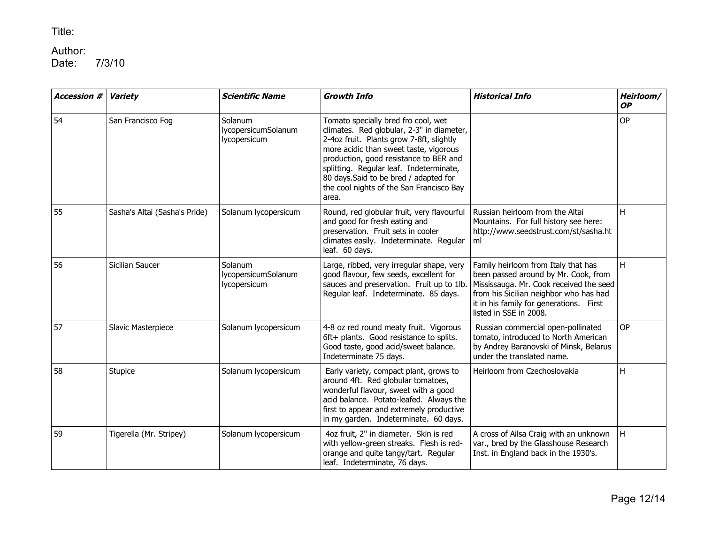# Author:<br>Date:

| <b>Accession #</b> | <b>Variety</b>                | <b>Scientific Name</b>                         | <b>Growth Info</b>                                                                                                                                                                                                                                                                                                                                         | <b>Historical Info</b>                                                                                                                                                                                                                | Heirloom/<br><b>OP</b> |
|--------------------|-------------------------------|------------------------------------------------|------------------------------------------------------------------------------------------------------------------------------------------------------------------------------------------------------------------------------------------------------------------------------------------------------------------------------------------------------------|---------------------------------------------------------------------------------------------------------------------------------------------------------------------------------------------------------------------------------------|------------------------|
| 54                 | San Francisco Fog             | Solanum<br>lycopersicumSolanum<br>lycopersicum | Tomato specially bred fro cool, wet<br>climates. Red globular, 2-3" in diameter,<br>2-4oz fruit. Plants grow 7-8ft, slightly<br>more acidic than sweet taste, vigorous<br>production, good resistance to BER and<br>splitting. Regular leaf. Indeterminate,<br>80 days. Said to be bred / adapted for<br>the cool nights of the San Francisco Bay<br>area. |                                                                                                                                                                                                                                       | <b>OP</b>              |
| 55                 | Sasha's Altai (Sasha's Pride) | Solanum lycopersicum                           | Round, red globular fruit, very flavourful<br>and good for fresh eating and<br>preservation. Fruit sets in cooler<br>climates easily. Indeterminate. Regular<br>leaf. 60 days.                                                                                                                                                                             | Russian heirloom from the Altai<br>Mountains. For full history see here:<br>http://www.seedstrust.com/st/sasha.ht<br>ml                                                                                                               | н                      |
| 56                 | Sicilian Saucer               | Solanum<br>lycopersicumSolanum<br>lycopersicum | Large, ribbed, very irregular shape, very<br>good flavour, few seeds, excellent for<br>sauces and preservation. Fruit up to 1lb.<br>Regular leaf. Indeterminate. 85 days.                                                                                                                                                                                  | Family heirloom from Italy that has<br>been passed around by Mr. Cook, from<br>Mississauga. Mr. Cook received the seed<br>from his Sicilian neighbor who has had<br>it in his family for generations. First<br>listed in SSE in 2008. | H.                     |
| 57                 | Slavic Masterpiece            | Solanum lycopersicum                           | 4-8 oz red round meaty fruit. Vigorous<br>6ft+ plants. Good resistance to splits.<br>Good taste, good acid/sweet balance.<br>Indeterminate 75 days.                                                                                                                                                                                                        | Russian commercial open-pollinated<br>tomato, introduced to North American<br>by Andrey Baranovski of Minsk, Belarus<br>under the translated name.                                                                                    | <b>OP</b>              |
| 58                 | Stupice                       | Solanum lycopersicum                           | Early variety, compact plant, grows to<br>around 4ft. Red globular tomatoes,<br>wonderful flavour, sweet with a good<br>acid balance. Potato-leafed. Always the<br>first to appear and extremely productive<br>in my garden. Indeterminate. 60 days.                                                                                                       | Heirloom from Czechoslovakia                                                                                                                                                                                                          | H                      |
| 59                 | Tigerella (Mr. Stripey)       | Solanum lycopersicum                           | 4oz fruit, 2" in diameter. Skin is red<br>with yellow-green streaks. Flesh is red-<br>orange and quite tangy/tart. Regular<br>leaf. Indeterminate, 76 days.                                                                                                                                                                                                | A cross of Ailsa Craig with an unknown<br>var., bred by the Glasshouse Research<br>Inst. in England back in the 1930's.                                                                                                               | H                      |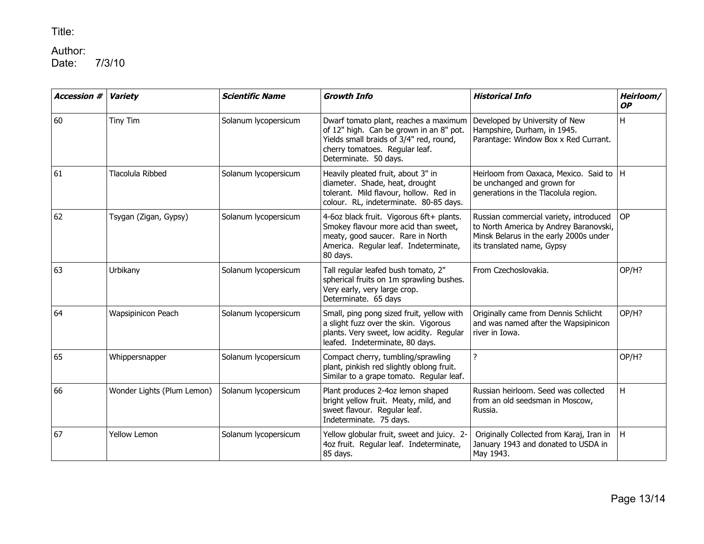## Author:<br>Date:

| <b>Accession #</b> | <b>Variety</b>             | <b>Scientific Name</b> | <b>Growth Info</b>                                                                                                                                                                     | <b>Historical Info</b>                                                                                                                                   | Heirloom/<br><b>OP</b> |
|--------------------|----------------------------|------------------------|----------------------------------------------------------------------------------------------------------------------------------------------------------------------------------------|----------------------------------------------------------------------------------------------------------------------------------------------------------|------------------------|
| 60                 | Tiny Tim                   | Solanum lycopersicum   | Dwarf tomato plant, reaches a maximum<br>of 12" high. Can be grown in an 8" pot.<br>Yields small braids of 3/4" red, round,<br>cherry tomatoes. Regular leaf.<br>Determinate. 50 days. | Developed by University of New<br>Hampshire, Durham, in 1945.<br>Parantage: Window Box x Red Currant.                                                    | H                      |
| 61                 | Tlacolula Ribbed           | Solanum lycopersicum   | Heavily pleated fruit, about 3" in<br>diameter. Shade, heat, drought<br>tolerant. Mild flavour, hollow. Red in<br>colour. RL, indeterminate. 80-85 days.                               | Heirloom from Oaxaca, Mexico. Said to   H<br>be unchanged and grown for<br>generations in the Tlacolula region.                                          |                        |
| 62                 | Tsygan (Zigan, Gypsy)      | Solanum lycopersicum   | 4-6oz black fruit. Vigorous 6ft+ plants.<br>Smokey flavour more acid than sweet,<br>meaty, good saucer. Rare in North<br>America. Regular leaf. Indeterminate,<br>80 days.             | Russian commercial variety, introduced<br>to North America by Andrey Baranovski,<br>Minsk Belarus in the early 2000s under<br>its translated name, Gypsy | <b>OP</b>              |
| 63                 | Urbikany                   | Solanum lycopersicum   | Tall regular leafed bush tomato, 2"<br>spherical fruits on 1m sprawling bushes.<br>Very early, very large crop.<br>Determinate. 65 days                                                | From Czechoslovakia.                                                                                                                                     | OP/H?                  |
| 64                 | Wapsipinicon Peach         | Solanum lycopersicum   | Small, ping pong sized fruit, yellow with<br>a slight fuzz over the skin. Vigorous<br>plants. Very sweet, low acidity. Regular<br>leafed. Indeterminate, 80 days.                      | Originally came from Dennis Schlicht<br>and was named after the Wapsipinicon<br>river in Iowa.                                                           | OP/H?                  |
| 65                 | Whippersnapper             | Solanum lycopersicum   | Compact cherry, tumbling/sprawling<br>plant, pinkish red slightly oblong fruit.<br>Similar to a grape tomato. Regular leaf.                                                            | ?                                                                                                                                                        | OP/H?                  |
| 66                 | Wonder Lights (Plum Lemon) | Solanum lycopersicum   | Plant produces 2-4oz lemon shaped<br>bright yellow fruit. Meaty, mild, and<br>sweet flavour. Regular leaf.<br>Indeterminate. 75 days.                                                  | Russian heirloom. Seed was collected<br>from an old seedsman in Moscow,<br>Russia.                                                                       | H                      |
| 67                 | <b>Yellow Lemon</b>        | Solanum lycopersicum   | Yellow globular fruit, sweet and juicy. 2-<br>4oz fruit. Regular leaf. Indeterminate,<br>85 days.                                                                                      | Originally Collected from Karaj, Iran in<br>January 1943 and donated to USDA in<br>May 1943.                                                             | H                      |